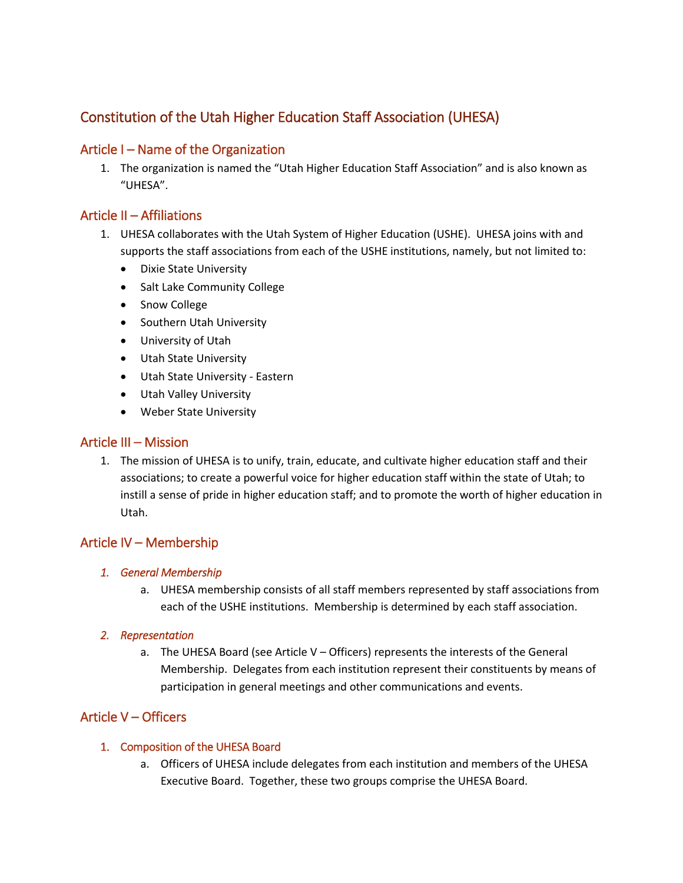# Constitution of the Utah Higher Education Staff Association (UHESA)

### Article I – Name of the Organization

1. The organization is named the "Utah Higher Education Staff Association" and is also known as "UHESA".

# Article II – Affiliations

- 1. UHESA collaborates with the Utah System of Higher Education (USHE). UHESA joins with and supports the staff associations from each of the USHE institutions, namely, but not limited to:
	- Dixie State University
	- Salt Lake Community College
	- Snow College
	- Southern Utah University
	- University of Utah
	- Utah State University
	- Utah State University Eastern
	- Utah Valley University
	- Weber State University

### Article III – Mission

1. The mission of UHESA is to unify, train, educate, and cultivate higher education staff and their associations; to create a powerful voice for higher education staff within the state of Utah; to instill a sense of pride in higher education staff; and to promote the worth of higher education in Utah.

### Article IV – Membership

#### *1. General Membership*

a. UHESA membership consists of all staff members represented by staff associations from each of the USHE institutions. Membership is determined by each staff association.

#### *2. Representation*

a. The UHESA Board (see Article V – Officers) represents the interests of the General Membership. Delegates from each institution represent their constituents by means of participation in general meetings and other communications and events.

# Article V – Officers

#### 1. Composition of the UHESA Board

a. Officers of UHESA include delegates from each institution and members of the UHESA Executive Board. Together, these two groups comprise the UHESA Board.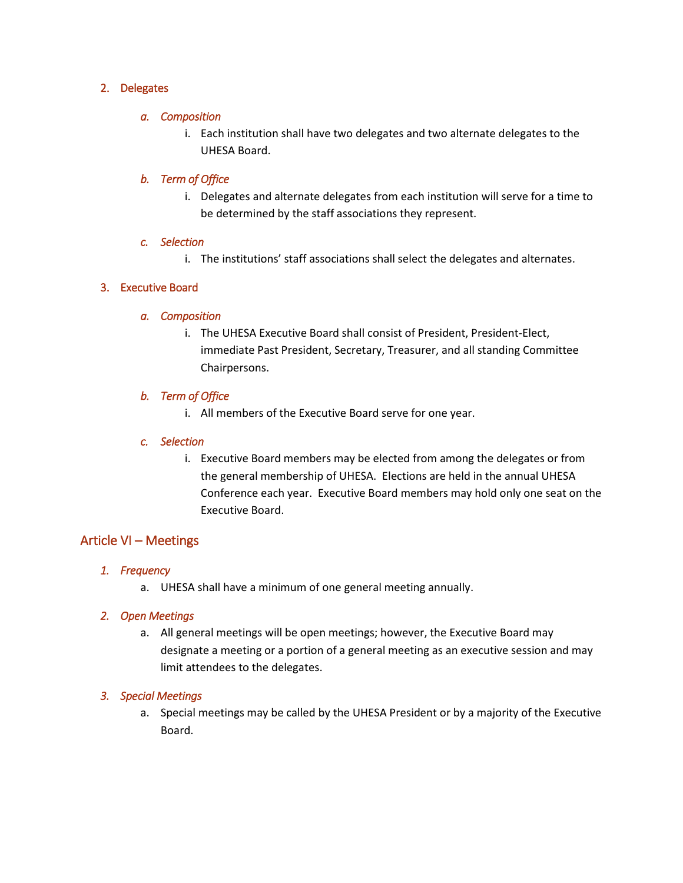#### 2. Delegates

#### *a. Composition*

i. Each institution shall have two delegates and two alternate delegates to the UHESA Board.

#### *b. Term of Office*

i. Delegates and alternate delegates from each institution will serve for a time to be determined by the staff associations they represent.

#### *c. Selection*

i. The institutions' staff associations shall select the delegates and alternates.

#### 3. Executive Board

#### *a. Composition*

i. The UHESA Executive Board shall consist of President, President-Elect, immediate Past President, Secretary, Treasurer, and all standing Committee Chairpersons.

#### *b. Term of Office*

i. All members of the Executive Board serve for one year.

#### *c. Selection*

i. Executive Board members may be elected from among the delegates or from the general membership of UHESA. Elections are held in the annual UHESA Conference each year. Executive Board members may hold only one seat on the Executive Board.

### Article VI – Meetings

#### *1. Frequency*

a. UHESA shall have a minimum of one general meeting annually.

#### *2. Open Meetings*

a. All general meetings will be open meetings; however, the Executive Board may designate a meeting or a portion of a general meeting as an executive session and may limit attendees to the delegates.

#### *3. Special Meetings*

a. Special meetings may be called by the UHESA President or by a majority of the Executive Board.